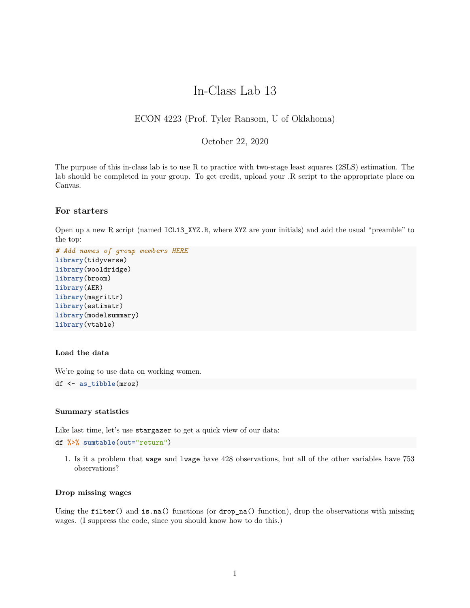# In-Class Lab 13

# ECON 4223 (Prof. Tyler Ransom, U of Oklahoma)

# October 22, 2020

The purpose of this in-class lab is to use R to practice with two-stage least squares (2SLS) estimation. The lab should be completed in your group. To get credit, upload your .R script to the appropriate place on Canvas.

# **For starters**

Open up a new R script (named ICL13\_XYZ.R, where XYZ are your initials) and add the usual "preamble" to the top:

```
# Add names of group members HERE
library(tidyverse)
library(wooldridge)
library(broom)
library(AER)
library(magrittr)
library(estimatr)
library(modelsummary)
library(vtable)
```
## **Load the data**

We're going to use data on working women.

```
df <- as_tibble(mroz)
```
## **Summary statistics**

Like last time, let's use stargazer to get a quick view of our data:

df **%>% sumtable**(out="return")

1. Is it a problem that wage and lwage have 428 observations, but all of the other variables have 753 observations?

## **Drop missing wages**

Using the filter() and is.na() functions (or drop\_na() function), drop the observations with missing wages. (I suppress the code, since you should know how to do this.)